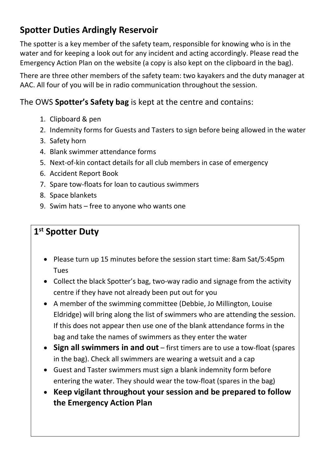## Spotter Duties Ardingly Reservoir

The spotter is a key member of the safety team, responsible for knowing who is in the water and for keeping a look out for any incident and acting accordingly. Please read the Emergency Action Plan on the website (a copy is also kept on the clipboard in the bag).

There are three other members of the safety team: two kayakers and the duty manager at AAC. All four of you will be in radio communication throughout the session.

The OWS Spotter's Safety bag is kept at the centre and contains:

- 1. Clipboard & pen
- 2. Indemnity forms for Guests and Tasters to sign before being allowed in the water
- 3. Safety horn
- 4. Blank swimmer attendance forms
- 5. Next-of-kin contact details for all club members in case of emergency
- 6. Accident Report Book
- 7. Spare tow-floats for loan to cautious swimmers
- 8. Space blankets
- 9. Swim hats free to anyone who wants one

## 1<sup>st</sup> Spotter Duty

- Please turn up 15 minutes before the session start time: 8am Sat/5:45pm Tues
- Collect the black Spotter's bag, two-way radio and signage from the activity centre if they have not already been put out for you
- A member of the swimming committee (Debbie, Jo Millington, Louise Eldridge) will bring along the list of swimmers who are attending the session. If this does not appear then use one of the blank attendance forms in the bag and take the names of swimmers as they enter the water
- Sign all swimmers in and out  $-$  first timers are to use a tow-float (spares in the bag). Check all swimmers are wearing a wetsuit and a cap
- Guest and Taster swimmers must sign a blank indemnity form before entering the water. They should wear the tow-float (spares in the bag)
- Keep vigilant throughout your session and be prepared to follow the Emergency Action Plan